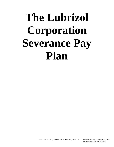# **The Lubrizol Corporation Severance Pay Plan**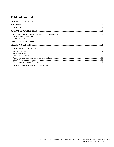# **Table of Contents**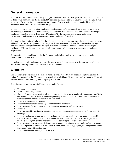# <span id="page-2-0"></span>**General Information**

The Lubrizol Corporation Severance Pay Plan (the "Severance Plan" or "plan") was first established on October 1, 2020. This summary plan description (SPD) describes the main features of Severance Plan, and you should keep a copy for your reference. A complete description of the terms of this plan is contained in the plan document, and the terms of that document will govern.

In certain circumstances, an eligible employee's employment may be terminated due to poor performance, a restructuring, a reduction in our workforce or job elimination. The Severance Plan provides benefits to eligible employees, described in more detail below ("Eligibility"), who terminate employment under these circumstances and who otherwise meet the terms and conditions of the plan.

The Lubrizol Corporation ("Lubrizol" or the "Company") is the plan sponsor, as well as the plan administrator. Although it is Lubrizol's expectation that the plan will be a permanent program, the Company has the right to terminate or amend the plan in whole or in part by written action of its Board of Directors or its designee. Neither this SPD, nor the plan document, constitutes a contract of employment or a promise of continuing employment.

The cost of the plan is paid entirely by the Company, and eligible employees are not required to make any contributions under this plan.

If you have any questions about the terms of the plan or about the payment of benefits, you may obtain more information from any benefits or human resources representative.

# <span id="page-2-1"></span>**Eligibility**

You are eligible to participate in the plan (an "eligible employee") if you are a regular employee paid on the United States payroll of the "Company" or a participating subsidiary. Being on an employer-approved leave of absence will not affect your eligibility for plan participation.

The following persons are not eligible employees under the plan:

- Temporary employees
- Intern A university student
- Co-op A recurring university student such as a student involved in a university sponsored work/study curriculum in chemical and mechanical engineering. Commonly, students alternate one semester in a work assignment and one semester in the classroom.
- Vo-ed A non-university student
- Persons who render services solely as an independent contractor
- Persons who render services as workers through an agreement with a third party
- Directors
- Persons covered by a collective bargaining agreement, unless the agreement specifically provides for coverage
- Persons who become employees of Lubrizol or a participating subsidiary as a result of an acquisition, merger or similar transaction, and are entitled to receive severance, retention or similar payment(s) under a plan, program or other arrangement of the person's pre-acquisition employer
- Persons who receive, or are entitled to receive, retention or similar payments under a plan, program or other arrangement of Lubrizol or a Lubrizol affiliate, unless the plan, program, or arrangement reserves the person's eligibility for this plan
- Persons who decline participation in the plan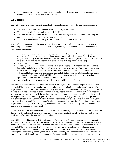• Persons employed or providing services to Lubrizol or a participating subsidiary in any employee category that is not a regular employee category.

# <span id="page-3-0"></span>**Coverage**

You will be eligible to receive benefits under the Severance Plan if all of the following conditions are met:

- You meet the eligibility requirements described in "Eligibility" above.
- You incur a termination of employment as defined in the plan.
- You sign and deliver (and do not revoke) a valid Separation Agreement and Release (including all component documents) as required by your employer.
- You satisfy, and continue to satisfy, the other terms and conditions of the plan.

In general, a termination of employment is a complete severance of the eligible employee's employment relationship with the Lubrizol and all Lubrizol affiliates, excluding any termination of employment under the following circumstances:

- A voluntary separation from employment by resignation, retirement, failure to return to work, or any other reason (except a voluntary separation resulting from the eligible employee's participation in a temporary voluntary workforce reduction program, sponsored by an employer, where the Administrator, in its sole discretion, determines that severance benefits shall be paid under the plan).
- A layoff with recall rights.
- A discharge for "conduct harmful or prejudicial to the Company" as defined in the plan. "Conduct harmful or prejudicial to the Company" is any act or omission by you, whether or not occurring during the course of your employment, that the Administrator, in its sole discretion, determines to be detrimental to the interest of a Lubrizol or a Lubrizol affiliate.. It includes, but it not limited to, any violation of the Company's Code of Ethics, Company or employer policies, or the terms of any agreement between you and Lubrizol or a Lubrizol affiliate.
- A termination of employment while on a long-term disability leave of absence.

You will not be considered to have had a termination of employment if you transfer employment to another Lubrizol affiliate. You also will not be considered to have had a termination of employment if you transfer employment to a purchaser or transferee of all or any portion of a Lubrizol business. Similarly, you will not be deemed to have had a termination of employment if (i) your job is outsourced to a third party or you receive an offer to continue employment with the purchaser or transferee a Lubrizol business, and (ii) under the offer of the employment with the third party, purchaser or transferee, your base pay would be equal to or greater than your current base pay, and your work site either would not change, would be closer to your home than your current work site, or would be no more than 30 miles from your current work site. In addition, if you separate employment in anticipation of starting employment with another Lubrizol affiliate, your separation will not be treated as a termination of employment.

If you are on an authorized leave of absence, your termination of employment will be deemed to have occurred during or at the end of such leave in accordance with the employment policies of the Company and/or your employer in effect as of the time such leave is taken.

You will be required to sign and deliver a Separation Agreement and Release by your employer as a condition of receiving receive plan benefits. The Separation Agreement and Release will describe the severance benefits you will receive under the plan, and will contain a release of claims against Lubrizol, your employer and other Lubrizol affiliates and persons. It will also contain other terms, representations and conditions. Your Separation Agreement and Release must become effective in order for you to be entitled to plan benefits, meaning that your properly signed agreement and release, including all component parts, must be delivered to your employer, and all applicable statutory periods for you to consider the agreement and release must expire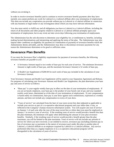without you revoking it.

In order to receive severance benefits (and to continue to receive severance benefit payments after they have started), you cannot perform any work for Lubrizol or a Lubrizol affiliate after your termination of employment. This does not include any cooperation you provide without pay to Lubrizol or a Lubrizol affiliate in connection with any business or legal matter or any investigation about which you may have relevant information.

You also must satisfy or fulfill any and all obligations you have to Lubrizol or a Lubrizol affiliate, including the return of all documents and other property related to Lubrizol or a Lubrizol affiliate promptly upon your termination of employment, but in any event not later seven days following your termination of employment.

The Administrator has the sole discretion to determine your eligibility for, or entitlement to, benefits, including making factual determinations and interpreting and applying the terms of the plan. The Administrator may also impose other conditions on eligibility for payment (or continuation of payment) of severance benefits which the Administrator deems advisable, and the Administrator may deny or discontinue severance payments for any reason the Administrator determines to be good or sufficient cause.

# <span id="page-4-0"></span>**Severance Plan Benefits**

If you meet the Severance Plan's eligibility requirements for payment of severance benefits, the following severance benefits are payable to you:

- A Severance Amount equal to two weeks of base pay for each year of service. The minimum Severance Amount is eight weeks of base pay, and the maximum Severance Amount is 52 weeks of base pay.
- A Health Care Supplement of \$200.00 for each week of base pay included in the calculation of your Severance Amount.

Your Severance Amount and Health Care Supplement will be stated in your Separation Agreement and Release. For purposes of calculating your Severance Amount and Health Care Supplement, the plan determines your base pay and years of service as follows:

- "Base pay" is your regular weekly base pay in effect on the date of your termination of employment. If you are an hourly employee, your base pay is the product of your hourly rate of pay and your standard weekly work hours, determined as of the date of your termination of employment. If your compensation is based solely on commissions, base pay is your draw against such commissions, expressed as a weekly amount, and does not include any compensation in excess of your draw.
- "Years of service" are calculated from the later of your most recent hire date (adjusted as applicable to include your service as part of a co-operative educational program) and your rehire date, if any, as reflected in the Company's human resources information system. You will acquire one year of service on January 1 of each year after the year of the most recent hire or rehire date (you must be employed on January 1 to receive a year of service). If the resulting years of service would provide a benefit less than the plan minimum, the minimum will apply when determining the amount of your plan severance benefits. Similarly, if the resulting years of service would provide a benefit greater than the plan maximum, you will be limited to the plan maximum. Years of service will not include any periods of service for which you have received, or are entitled to receive, severance pay (including retention pay in lieu of severance pay or payments in the nature of severance pay) under this plan or another plan of Lubrizol, a Lubrizol affiliate or an employer acquired by Lubrizol or a Lubrizol affiliate. Any service performed other than as a regular employee or in a co-operative educational program will be disregarded in the calculation of years of service.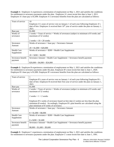**Example 1:** Employee A experiences a termination of employment on May 1, 2021 and satisfies the conditions for entitlement to severance payments under the plan. Employee A's most recent hire date is June 1, 2011. Employee A's base pay is \$1,000. Employee A's severance benefits from the plan are calculated as follows:

| Years of service   | 10                                                                                                    |  |
|--------------------|-------------------------------------------------------------------------------------------------------|--|
|                    | Employee A's years of service vest on January 1 of each year following Employee A's                   |  |
|                    | date of hire. Employee A received their 10 <sup>th</sup> year of service under the plan on January 1, |  |
|                    | 2021.                                                                                                 |  |
| Base pay           | \$1,000                                                                                               |  |
| Weeks of           | 2 weeks $\times$ Years of service = Weeks of severance (subject to minimum of 8 weeks and             |  |
| severance          | maximum of 52 weeks)                                                                                  |  |
|                    |                                                                                                       |  |
|                    | 2 weeks $\times$ 10 = 20 weeks                                                                        |  |
| Severance          | Weeks of severance $\times$ base pay = Severance Amount                                               |  |
| Amount             |                                                                                                       |  |
|                    | $20 \times \$1,000 = \$20,000$                                                                        |  |
| <b>Health Care</b> | Weeks of severance $\times$ \$200 = Health Care Supplement                                            |  |
| Supplement         |                                                                                                       |  |
|                    | $20 \times $200 = $4,000$                                                                             |  |
| Severance benefit  | Severance Amount + Health Care Supplement = Severance benefit payment                                 |  |
| payment            |                                                                                                       |  |
|                    | $$20,000 + $4,000 = $24,000$                                                                          |  |

**Example 2:** Employee B experiences a termination of employment on May 1, 2021 and satisfies the conditions for entitlement to severance payments under the plan. Employee B's most recent hire date is June 1, 2020. Employee B's base pay is \$1,000. Employee B's severance benefits from the plan are calculated as follows:

| Years of service   | 1                                                                                          |  |  |
|--------------------|--------------------------------------------------------------------------------------------|--|--|
|                    | Employee B's years of service vest on January 1 of each year following Employee B's        |  |  |
|                    | date of hire. Employee B received their first year of service under the plan on January 1, |  |  |
|                    | 2021.                                                                                      |  |  |
| Base pay           | \$1,000                                                                                    |  |  |
| Weeks of           | 2 weeks $\times$ Years of service = Weeks of severance (subject to minimum of 8 weeks and  |  |  |
| severance          | maximum of 52 weeks)                                                                       |  |  |
|                    |                                                                                            |  |  |
|                    | 2 weeks $\times$ 1 = 2 weeks                                                               |  |  |
|                    |                                                                                            |  |  |
|                    | Employee B's weeks of severance based on hire date (2 weeks) are less than the plan        |  |  |
|                    | minimum (8 weeks). Accordingly, Employee B's plan benefits are calculated using the        |  |  |
|                    | plan minimum of 8 weeks of severance.                                                      |  |  |
| Severance          | Weeks of severance $\times$ base pay = Severance Amount                                    |  |  |
| Amount             |                                                                                            |  |  |
|                    | $8 \times \$1,000 = \$8,000$                                                               |  |  |
| <b>Health Care</b> | Weeks of severance $\times$ \$200 = Health Care Supplement                                 |  |  |
| Supplement         |                                                                                            |  |  |
|                    | $8 \times \$200 = \$1,600$                                                                 |  |  |
| Severance benefit  | Severance Amount + Health Care Supplement = Severance benefit payment                      |  |  |
| payment            |                                                                                            |  |  |
|                    | $$8,000 + $1,600 = $9,600$                                                                 |  |  |

**Example 3:** Employee C experiences a termination of employment on May 1, 2021 and satisfies the conditions for entitlement to severance payments under the plan. Employee C's most recent hire date is June 1, 1991.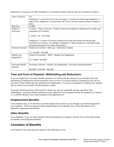Employee C's base pay is \$1,000. Employee C's severance benefits from the plan are calculated as follows:

| <b>Years of Service</b> | 30                                                                                          |  |  |
|-------------------------|---------------------------------------------------------------------------------------------|--|--|
|                         | Employee C's years of service vest on January 1 of each year following Employee C's         |  |  |
|                         | date of hire. Employee C received their $30th$ year of service under the plan on January 1, |  |  |
|                         | 2021.                                                                                       |  |  |
| <b>Base Pay</b>         | \$1,000                                                                                     |  |  |
| Weeks of                | 2 weeks $\times$ Years of service = Weeks of severance (subject to minimum of 8 weeks and   |  |  |
| Severance               | maximum of 52 weeks)                                                                        |  |  |
|                         |                                                                                             |  |  |
|                         | 2 weeks $\times$ 30 = 60 weeks                                                              |  |  |
|                         |                                                                                             |  |  |
|                         | Employee C's weeks of severance based on hire date (60 weeks) exceed the plan               |  |  |
|                         | maximum (52 weeks). Accordingly, Employee C's plan benefits are calculated using            |  |  |
|                         | the plan maximum of 52 weeks of severance.                                                  |  |  |
| Severance amount        | Weeks of severance $\times$ base pay = Severance Amount                                     |  |  |
|                         |                                                                                             |  |  |
|                         | $52 \times $1,000 = $52,000$                                                                |  |  |
| <b>Health Care</b>      | Weeks of severance $\times$ \$200 = Health Care Supplement                                  |  |  |
| Supplement              |                                                                                             |  |  |
|                         | $52 \times $200 = $10,400$                                                                  |  |  |
|                         |                                                                                             |  |  |
| Severance benefit       | Severance Amount + Health Care Supplement = Severance benefit payment                       |  |  |
| payment                 |                                                                                             |  |  |
|                         | $$52,000 + $10,400 = $62,400$                                                               |  |  |

#### <span id="page-6-0"></span>**Time and Form of Payment; Withholding and Reductions**

If you are eligible for a severance benefit payment, you will be paid the amount of your benefits after your termination of employment and the expiration of any review or revocation period of required by law, but not later than 74 days following your termination of employment. You may not designate or influence the calendar year in which your severance benefit payment is made.

Severance benefit payments will be paid in a lump sum, less any applicable income, payroll or other withholdings. Severance benefit payments may be reduced by any amounts owed by the employee to Lubrizol or a Lubrizol affiliate to the extent consistent with applicable law.

## <span id="page-6-1"></span>**Outplacement Benefits**

Your employer may, at its discretion, provide outplacement services to you through a provider designated by your employer. If you are being provided outplacement service benefits, they will be described in your Separation Agreement and Release.

#### <span id="page-6-2"></span>**Other Benefits**

Your eligibility, if any, for other benefits will be determined in accordance with the terms of the official plan documents concerning those benefits.

# <span id="page-6-3"></span>**Cessation of Benefits**

Your benefits will cease upon the earliest of the following to occur: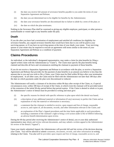- (i) the date you receive full amount of severance benefits payable to you under the terms of your Separation Agreement and Release;
- (ii) the date you are determined not to be eligible for benefits by the Administrator;
- (iii) the date your severance benefits are discontinued due to failure to abide by a term of the plan; or
- (iv) the date on which the plan terminates.

Nothing in the Severance Plan shall be construed as giving any eligible employee, participant, or other person a nonforfeitable or vested right to any benefits under the plan.

## **Death**

If you die after you have had a termination of employment and satisfied all conditions for eligibility for severance benefits, any unpaid severance benefits that would have been due to you will be paid to your surviving spouse, or if you have no surviving spouse at the time of your death, your estate. Your surviving spouse or your estate may be required to execute an agreement with terms similar to the terms of your Separation Agreement and Release as a condition of payment.

# <span id="page-7-0"></span>**Claims Procedures**

An individual, or the individual's designated representative, may make a claim for plan benefits by filing a signed written claim with the Administrator (a "Claim"). The Claim must specify the plan benefits being claimed and describe all facts and circumstances entitling the claimant to payment of those benefits.

If you do not receive a Separation Agreement and Release in accordance with the plan, or receive a Separation Agreement and Release that provides for the payment of plan benefits in an amount you believe is less than the amount due to you and you wish to file a Claim, your Claim must be filed within 90 days after your termination of employment. In all other cases, the Claim must be filed with the Administrator not later than 180 days after the date on which payments under the plan were discontinued or reduced.

The Administrator will notify a claimant of its decision within 90 days after receipt of the Claim, or, if special circumstances exist, within 180 days of receipt of the Claim, in which event the claimant will be provided notice of the extension of the initial 90-day period before that period expires. If the Claim is denied in whole or in part, the Administrator's notice of denial must be provided in writing and must give:

- (i) the specific reasons for denial with specific reference to plan upon which the denial was based;
- (ii) a description of any additional material or information (if any) necessary to perfect the Claim and an explanation of why the material or information is necessary;
- (iii) a statement that the claimant is entitled to receive, upon request and free of charge, reasonable access to, and copies of, all documents, records, and other information relevant to the Claim; and
- (iv) an explanation of the Plan's Appeal procedures and the time limits applicable to such procedures, including a statement of the claimant's right to bring a civil action under § 502 of ERISA following an adverse benefit determination upon review.

During the 60-day period after receiving the Administrator's notice of denial, you or your duly authorized representative may obtain and review relevant documents, and may submit a written appeal to the Administrator for review of the denial ("Appeal").

Upon your timely submitted Appeal, the Administrator will provide full and fair review of the decision denying your Claim. You will be allowed to submit comments, documents, records, and other information in writing relating to the Claim. You also will be provided, upon request and free of charge, reasonable access to, and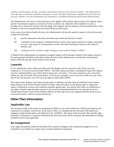copies of, all documents, records, and other information relevant to the claim for benefits. The Administrator must take into account all comments, documents, records, and other information submitted must be taken into account, whether or not the information was submitted or considered during the initial benefit determination.

The Administrator will issue a written decision on the Appeal within 60 days after receipt of the Appeal, unless special circumstances require an extension of time, in which case a decision will be rendered as soon as possible, but no later than 120 days after the filing of the Appeal, and the claimant will be provided notice of the extension of the review period before the initial 60-day period expires.

In the event of an adverse benefit decision, the Administrator will provide specific reasons for the decision and include the following:

- (i) specific references to the plan provisions upon which the decision is based,
- (ii) a statement of the claimant's entitlement led to receive, upon request and free of charge, reasonable access to, and copies of, all documents, records, and other information relevant to the claim for benefits, and
- (iii) a statement of the claimant's right to bring an action under § 502(a) of ERISA.

A failure by the Administrator to respond to an appeal request will be deemed a denial of the request, based on the same grounds identified in the initial written decision of the Administrator, and the date of the deemed denial will be the last day of the 60-day review period.

#### **Lawsuits**

If you complete the entire claims procedure and still disagree with the outcome of the Claim, you may commence a civil action (lawsuit) under ERISA. The entire claims procedure, including the request for Appeal, must be completed before your will be able to bring your civil action. You must commence your civil action within one year of the date of the final denial. If you do not commence your civil action within one year of the date of the final decision, you will waive all rights to relief under ERISA.

All controversies, disputes, and claims arising under or relating to the plan must be submitted to the United States District Court for the Northern District of Ohio, unless the parties to the dispute agree to submit the matter to arbitration on terms and conditions mutually agreed upon. Any person who asserts an entitlement to any right or benefit under the plan consents to the exercise of personal jurisdiction over that person by the United States District Court for the Northern District of Ohio and waives any argument that this forum is not a convenient forum in which to resolve the lawsuit.

# <span id="page-8-0"></span>**Other Plan Information**

## <span id="page-8-1"></span>**Applicable Law**

The Severance Plan, to the extent not preempted by ERISA or any other federal law, shall be governed by and construed in accordance with the law of the state of Ohio. It is intended that the Severance Plan shall be an employee welfare benefit plan as described in § 3(1) of ERISA. The terms of the Severance Plan and the rights and duties of all parties to or persons affected by the Severance Plan will be construed and determined according to ERISA to the extent applicable.

## <span id="page-8-2"></span>**No Assignment**

Your rights and benefits under the Severance Plan cannot be assigned, sold, transferred, pledged by you or reached by your creditors (or anyone else), except in limited circumstances.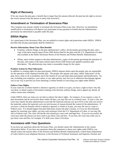## <span id="page-9-0"></span>**Right of Recovery**

If for any reason the plan pays a benefit that is larger than the amount allowed, the plan has the right to recover the excess amount from the person or entity that received it.

## <span id="page-9-1"></span>**Amendment or Termination of Severance Plan**

The Company may amend, modify or terminate the Severance Plan at any time. However, no amendment, modification or termination will deprive any participant of any payment or benefit that the Administrator previously has determined is payable under the plan.

# <span id="page-9-2"></span>**ERISA Rights**

As a participant in the Severance Plan, you are entitled to certain rights and protections under ERISA. ERISA provides that all plan participants shall be entitled to:

#### **Receive Information About Your Plan Benefits**

- Examine, without charge, at the plan administrator's office, all documents governing the plan, and a copy of the latest annual report (Form 5500 Series) filed by the plan with the U.S. Department of Labor and available at the Public Disclosure Room of the Pension and Welfare Benefit Administration.
- Obtain, upon written request to the plan administrator, copies of documents governing the operation of the plan, and copies of the latest annual report (Form 5500 Series) and updated summary plan description. The administrator may make a reasonable charge for the copies.

#### **Prudent Actions by Plan Fiduciaries**

In addition to creating rights for plan participants, ERISA imposes duties upon the people who are responsible for the operation of the employee benefit plan. The people who operate your plan, called "fiduciaries" of the plan, have a duty to do so prudently and in the interest of you and other plan participants and beneficiaries. No one, including your employer, your union, or any other person, may fire you or otherwise discriminate against you in any way to prevent you from obtaining a welfare benefit or exercising your rights under ERISA.

#### **Enforce Your Rights**

If your claim for a welfare benefit is denied or ignored, in whole or in part, you have a right to know why this was done, to obtain copies of documents relating to the decision without charge, and to appeal any denial, all within certain time schedules.

Under ERISA, there are steps you can take to enforce the above rights. For instance, if you request a copy of plan documents and do not receive them within 30 days, you may file suit in a Federal court. In such a case, the court may require the plan administrator to provide the materials and pay you up to \$110 a day until you receive the materials, unless the materials were not sent because of reasons beyond the control of the administrator. If you have a claim for benefits which is denied or ignored, in whole or in part, you may file suit in a state or Federal court. If it should happen that plan fiduciaries misuse the plan's money, or if you are discriminated against for asserting your rights, you may seek assistance from the U.S. Department of Labor, or you may file suit in Federal court. The court will decide who should pay court costs and legal fees. If you are successful, the court may order the person you have sued to pay these costs and fees. If you lose, the court may order you to pay these costs and fees, for example, if it finds your claim is frivolous.

## <span id="page-9-3"></span>**Assistance with Your Questions**

If you have any questions about the Severance Plan, you should contact the Administrator at the contact information below. If you have any questions about this statement or about your rights under ERISA, you should contact the nearest office of the Pension and Welfare Benefit Administration, United States Department of Labor listed in your telephone directory or the Division of Technical Assistance and Inquiries, Pension and